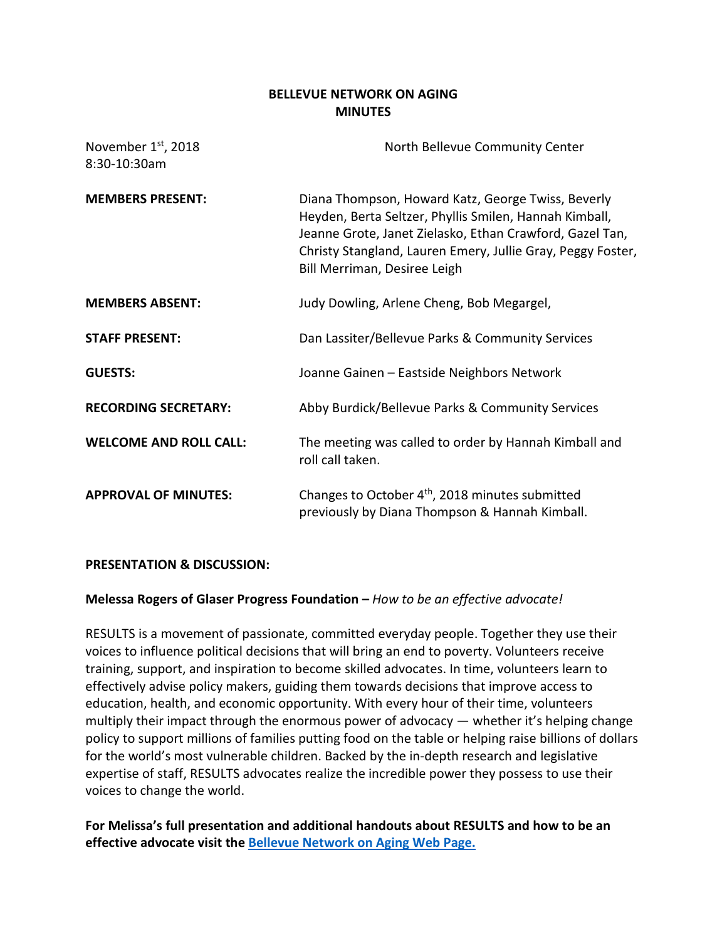### **BELLEVUE NETWORK ON AGING MINUTES**

| November 1 <sup>st</sup> , 2018<br>8:30-10:30am | North Bellevue Community Center                                                                                                                                                                                                                                         |
|-------------------------------------------------|-------------------------------------------------------------------------------------------------------------------------------------------------------------------------------------------------------------------------------------------------------------------------|
| <b>MEMBERS PRESENT:</b>                         | Diana Thompson, Howard Katz, George Twiss, Beverly<br>Heyden, Berta Seltzer, Phyllis Smilen, Hannah Kimball,<br>Jeanne Grote, Janet Zielasko, Ethan Crawford, Gazel Tan,<br>Christy Stangland, Lauren Emery, Jullie Gray, Peggy Foster,<br>Bill Merriman, Desiree Leigh |
| <b>MEMBERS ABSENT:</b>                          | Judy Dowling, Arlene Cheng, Bob Megargel,                                                                                                                                                                                                                               |
| <b>STAFF PRESENT:</b>                           | Dan Lassiter/Bellevue Parks & Community Services                                                                                                                                                                                                                        |
| <b>GUESTS:</b>                                  | Joanne Gainen - Eastside Neighbors Network                                                                                                                                                                                                                              |
| <b>RECORDING SECRETARY:</b>                     | Abby Burdick/Bellevue Parks & Community Services                                                                                                                                                                                                                        |
| <b>WELCOME AND ROLL CALL:</b>                   | The meeting was called to order by Hannah Kimball and<br>roll call taken.                                                                                                                                                                                               |
| <b>APPROVAL OF MINUTES:</b>                     | Changes to October 4 <sup>th</sup> , 2018 minutes submitted<br>previously by Diana Thompson & Hannah Kimball.                                                                                                                                                           |

### **PRESENTATION & DISCUSSION:**

### **Melessa Rogers of Glaser Progress Foundation –** *How to be an effective advocate!*

RESULTS is a movement of passionate, committed everyday people. Together they use their voices to influence political decisions that will bring an end to poverty. Volunteers receive training, support, and inspiration to become skilled advocates. In time, volunteers learn to effectively advise policy makers, guiding them towards decisions that improve access to education, health, and economic opportunity. With every hour of their time, volunteers multiply their impact through the enormous power of advocacy — whether it's helping change policy to support millions of families putting food on the table or helping raise billions of dollars for the world's most vulnerable children. Backed by the in-depth research and legislative expertise of staff, RESULTS advocates realize the incredible power they possess to use their voices to change the world.

**For Melissa's full presentation and additional handouts about RESULTS and how to be an effective advocate visit the [Bellevue Network on Aging Web Page.](https://bellevuewa.gov/city-government/departments/community-services/boards-and-commissions/network-on-aging/network-on-aging-agendas-and-minutes)**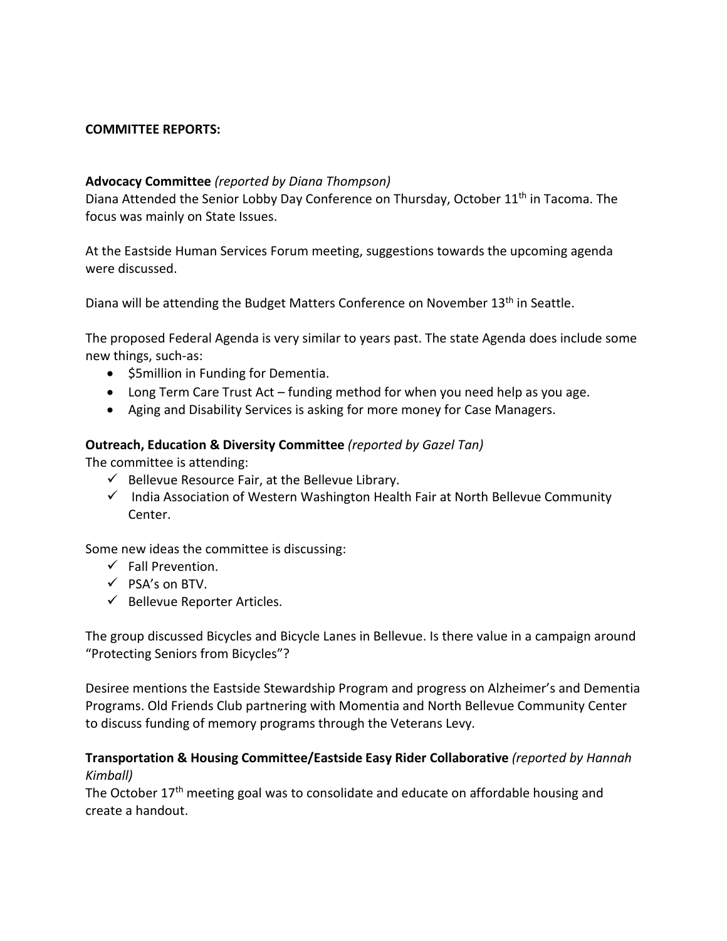#### **COMMITTEE REPORTS:**

#### **Advocacy Committee** *(reported by Diana Thompson)*

Diana Attended the Senior Lobby Day Conference on Thursday, October 11<sup>th</sup> in Tacoma. The focus was mainly on State Issues.

At the Eastside Human Services Forum meeting, suggestions towards the upcoming agenda were discussed.

Diana will be attending the Budget Matters Conference on November 13<sup>th</sup> in Seattle.

The proposed Federal Agenda is very similar to years past. The state Agenda does include some new things, such-as:

- \$5million in Funding for Dementia.
- Long Term Care Trust Act funding method for when you need help as you age.
- Aging and Disability Services is asking for more money for Case Managers.

### **Outreach, Education & Diversity Committee** *(reported by Gazel Tan)*

The committee is attending:

- $\checkmark$  Bellevue Resource Fair, at the Bellevue Library.
- $\checkmark$  India Association of Western Washington Health Fair at North Bellevue Community Center.

Some new ideas the committee is discussing:

- $\checkmark$  Fall Prevention.
- $\checkmark$  PSA's on BTV.
- $\checkmark$  Bellevue Reporter Articles.

The group discussed Bicycles and Bicycle Lanes in Bellevue. Is there value in a campaign around "Protecting Seniors from Bicycles"?

Desiree mentions the Eastside Stewardship Program and progress on Alzheimer's and Dementia Programs. Old Friends Club partnering with Momentia and North Bellevue Community Center to discuss funding of memory programs through the Veterans Levy.

#### **Transportation & Housing Committee/Eastside Easy Rider Collaborative** *(reported by Hannah Kimball)*

The October  $17<sup>th</sup>$  meeting goal was to consolidate and educate on affordable housing and create a handout.